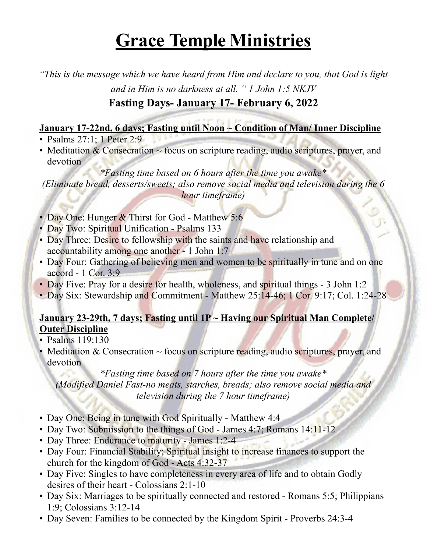*"This is the message which we have heard from Him and declare to you, that God is light and in Him is no darkness at all. " 1 John 1:5 NKJV*

## **Fasting Days- January 17- February 6, 2022**

#### **January 17-22nd, 6 days; Fasting until Noon ~ Condition of Man/ Inner Discipline**

- Psalms 27:1; 1 Peter 2:9
- Meditation  $& Conservation \sim focus on scripture reading, audio scripts, prayer, and$ devotion

*\*Fasting time based on 6 hours after the time you awake\* (Eliminate bread, desserts/sweets; also remove social media and television during the 6 hour timeframe)*

69

- Day One: Hunger & Thirst for God Matthew 5:6
- Day Two: Spiritual Unification Psalms 133
- Day Three: Desire to fellowship with the saints and have relationship and accountability among one another - 1 John 1:7
- Day Four: Gathering of believing men and women to be spiritually in tune and on one accord - 1 Cor. 3:9
- Day Five: Pray for a desire for health, wholeness, and spiritual things 3 John 1:2
- Day Six: Stewardship and Commitment Matthew 25:14-46; 1 Cor. 9:17; Col. 1:24-28

#### **January 23-29th, 7 days; Fasting until 1P ~ Having our Spiritual Man Complete/ Outer Discipline**

- Psalms 119:130
- Meditation  $& Conservation \sim focus on$  scripture reading, audio scriptures, prayer, and devotion

*\*Fasting time based on 7 hours after the time you awake\* (Modified Daniel Fast-no meats, starches, breads; also remove social media and television during the 7 hour timeframe)*

- Day One: Being in tune with God Spiritually Matthew 4:4
- Day Two: Submission to the things of God James 4:7; Romans 14:11-12
- Day Three: Endurance to maturity James 1:2-4
- Day Four: Financial Stability; Spiritual insight to increase finances to support the church for the kingdom of God - Acts 4:32-37
- Day Five: Singles to have completeness in every area of life and to obtain Godly desires of their heart - Colossians 2:1-10
- Day Six: Marriages to be spiritually connected and restored Romans 5:5; Philippians 1:9; Colossians 3:12-14
- Day Seven: Families to be connected by the Kingdom Spirit Proverbs 24:3-4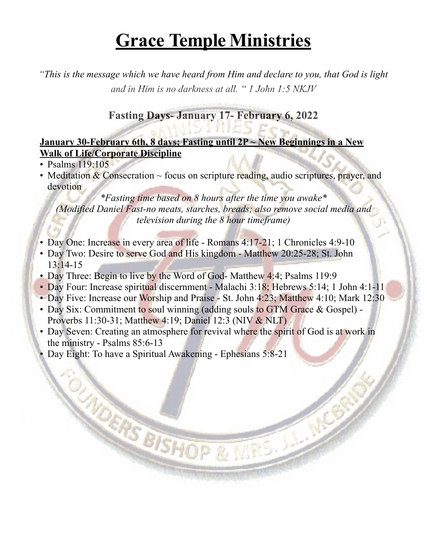*"This is the message which we have heard from Him and declare to you, that God is light and in Him is no darkness at all. " 1 John 1:5 NKJV*

#### **Fasting Days- January 17- February 6, 2022**

#### **January 30-February 6th, 8 days; Fasting until 2P ~ New Beginnings in a New Walk of Life/Corporate Discipline**

- Psalms 119:105
- Meditation  $&Conservation \sim focus on scripture reading, audio scriptures, prayer, and$ devotion

*\*Fasting time based on 8 hours after the time you awake\* (Modified Daniel Fast-no meats, starches, breads; also remove social media and television during the 8 hour timeframe)*

- Day One: Increase in every area of life Romans 4:17-21; 1 Chronicles 4:9-10
- Day Two: Desire to serve God and His kingdom Matthew 20:25-28; St. John 13:14-15
- Day Three: Begin to live by the Word of God- Matthew 4:4; Psalms 119:9
- Day Four: Increase spiritual discernment Malachi 3:18; Hebrews 5:14; 1 John 4:1-11
- Day Five: Increase our Worship and Praise St. John 4:23; Matthew 4:10; Mark 12:30
- Day Six: Commitment to soul winning (adding souls to GTM Grace & Gospel) -Proverbs 11:30-31; Matthew 4:19; Daniel 12:3 (NIV & NLT)
- Day Seven: Creating an atmosphere for revival where the spirit of God is at work in the ministry - Psalms 85:6-13

**CANDERS BISHOP & MIRS. J. MCR** 

• Day Eight: To have a Spiritual Awakening - Ephesians 5:8-21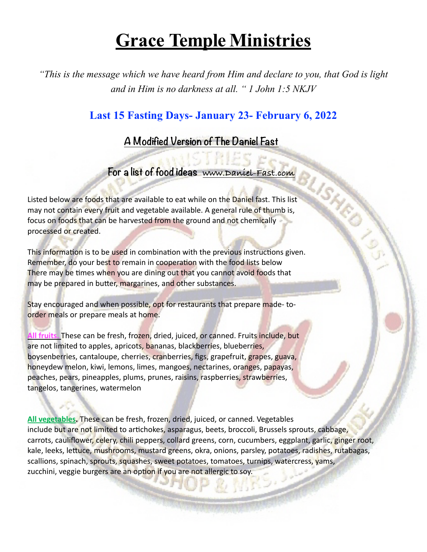*"This is the message which we have heard from Him and declare to you, that God is light and in Him is no darkness at all. " 1 John 1:5 NKJV*

### **Last 15 Fasting Days- January 23- February 6, 2022**

### **A Modified Version of The Daniel Fast**

#### **For a list of food ideas www.Daniel-Fast.com**

Listed below are foods that are available to eat while on the Daniel fast. This list may not contain every fruit and vegetable available. A general rule of thumb is, focus on foods that can be harvested from the ground and not chemically processed or created.

This information is to be used in combination with the previous instructions given. Remember, do your best to remain in cooperation with the food lists below There may be times when you are dining out that you cannot avoid foods that may be prepared in butter, margarines, and other substances.

Stay encouraged and when possible, opt for restaurants that prepare made- toorder meals or prepare meals at home.

**All fruits.** These can be fresh, frozen, dried, juiced, or canned. Fruits include, but are not limited to apples, apricots, bananas, blackberries, blueberries, boysenberries, cantaloupe, cherries, cranberries, figs, grapefruit, grapes, guava, honeydew melon, kiwi, lemons, limes, mangoes, nectarines, oranges, papayas, peaches, pears, pineapples, plums, prunes, raisins, raspberries, strawberries, tangelos, tangerines, watermelon

**All vegetables.** These can be fresh, frozen, dried, juiced, or canned. Vegetables include but are not limited to artichokes, asparagus, beets, broccoli, Brussels sprouts, cabbage, carrots, cauliflower, celery, chili peppers, collard greens, corn, cucumbers, eggplant, garlic, ginger root, kale, leeks, lettuce, mushrooms, mustard greens, okra, onions, parsley, potatoes, radishes, rutabagas, scallions, spinach, sprouts, squashes, sweet potatoes, tomatoes, turnips, watercress, yams, zucchini, veggie burgers are an option if you are not allergic to soy.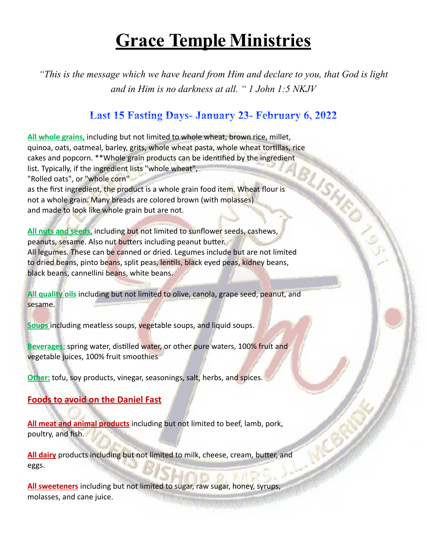*"This is the message which we have heard from Him and declare to you, that God is light and in Him is no darkness at all. " 1 John 1:5 NKJV*

## **Last 15 Fasting Days- January 23- February 6, 2022**

**All whole grains,** including but not limited to whole wheat, brown rice, millet, quinoa, oats, oatmeal, barley, grits, whole wheat pasta, whole wheat tortillas, rice<br>cakes and popcorn. \*\*Whole grain products can be identified by the ingredient<br>list. Typically, if the ingredient lists "whole wheat",<br>"Ro cakes and popcorn. \*\*Whole grain products can be identified by the ingredient list. Typically, if the ingredient lists "whole wheat", "Rolled oats", or "whole corn" as the first ingredient, the product is a whole grain food item. Wheat flour is not a whole grain. Many breads are colored brown (with molasses) and made to look like whole grain but are not. **All nuts and seeds,** including but not limited to sunflower seeds, cashews, peanuts, sesame. Also nut butters including peanut butter.

All legumes. These can be canned or dried. Legumes include but are not limited to dried beans, pinto beans, split peas, lentils, black eyed peas, kidney beans, black beans, cannellini beans, white beans.

**All quality oils** including but not limited to olive, canola, grape seed, peanut, and sesame.

**Soups** including meatless soups, vegetable soups, and liquid soups.

**Beverages:** spring water, distilled water, or other pure waters, 100% fruit and vegetable juices, 100% fruit smoothies

**Other:** tofu, soy products, vinegar, seasonings, salt, herbs, and spices.

#### **Foods to avoid on the Daniel Fast**

**All meat and animal products** including but not limited to beef, lamb, pork, poultry, and fish.

**All dairy** products including but not limited to milk, cheese, cream, butter, and eggs.

**All sweeteners** including but not limited to sugar, raw sugar, honey, syrups, molasses, and cane juice.